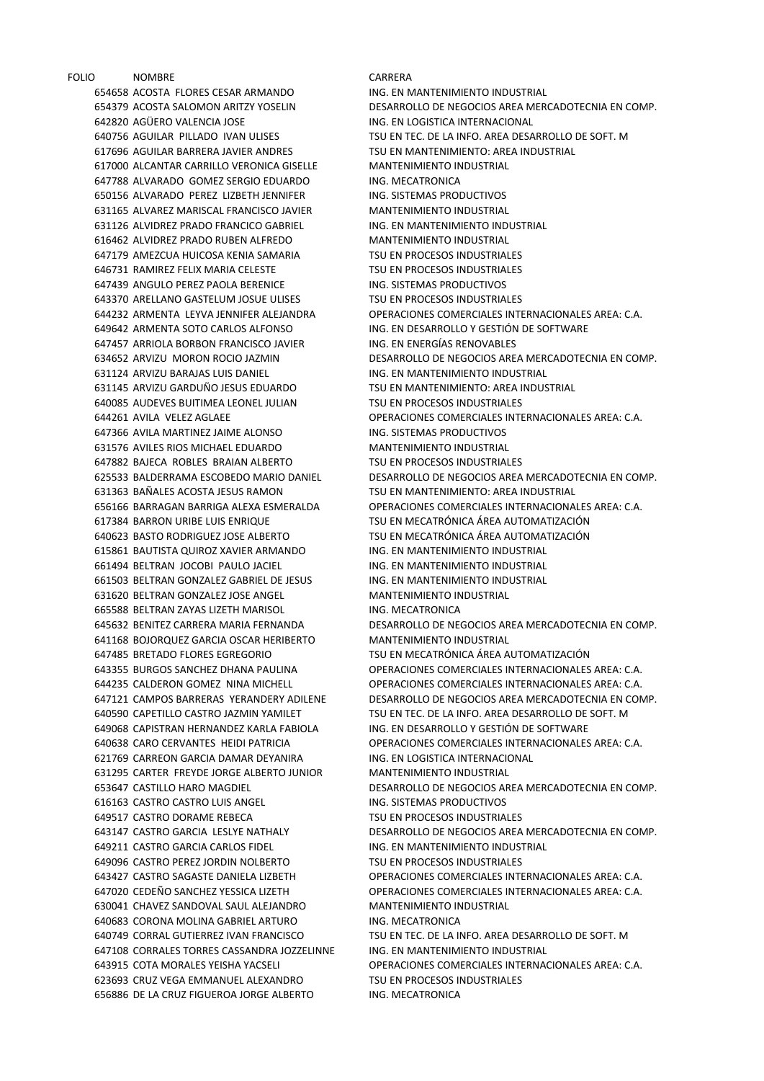FOLIO NOMBRE CARRERA ACOSTA FLORES CESAR ARMANDO ING. EN MANTENIMIENTO INDUSTRIAL AGÜERO VALENCIA JOSE ING. EN LOGISTICA INTERNACIONAL AGUILAR BARRERA JAVIER ANDRES TSU EN MANTENIMIENTO: AREA INDUSTRIAL ALCANTAR CARRILLO VERONICA GISELLE MANTENIMIENTO INDUSTRIAL 647788 ALVARADO GOMEZ SERGIO EDUARDO ING. MECATRONICA ALVARADO PEREZ LIZBETH JENNIFER ING. SISTEMAS PRODUCTIVOS ALVAREZ MARISCAL FRANCISCO JAVIER MANTENIMIENTO INDUSTRIAL ALVIDREZ PRADO FRANCICO GABRIEL ING. EN MANTENIMIENTO INDUSTRIAL ALVIDREZ PRADO RUBEN ALFREDO MANTENIMIENTO INDUSTRIAL AMEZCUA HUICOSA KENIA SAMARIA TSU EN PROCESOS INDUSTRIALES RAMIREZ FELIX MARIA CELESTE TSU EN PROCESOS INDUSTRIALES ANGULO PEREZ PAOLA BERENICE ING. SISTEMAS PRODUCTIVOS 643370 ARELLANO GASTELUM JOSUE ULISES TSU EN PROCESOS INDUSTRIALES ARMENTA SOTO CARLOS ALFONSO ING. EN DESARROLLO Y GESTIÓN DE SOFTWARE ARRIOLA BORBON FRANCISCO JAVIER ING. EN ENERGÍAS RENOVABLES ARVIZU BARAJAS LUIS DANIEL ING. EN MANTENIMIENTO INDUSTRIAL ARVIZU GARDUÑO JESUS EDUARDO TSU EN MANTENIMIENTO: AREA INDUSTRIAL AUDEVES BUITIMEA LEONEL JULIAN TSU EN PROCESOS INDUSTRIALES 647366 AVILA MARTINEZ JAIME ALONSO ING. SISTEMAS PRODUCTIVOS AVILES RIOS MICHAEL EDUARDO MANTENIMIENTO INDUSTRIAL BAJECA ROBLES BRAIAN ALBERTO TSU EN PROCESOS INDUSTRIALES BAÑALES ACOSTA JESUS RAMON TSU EN MANTENIMIENTO: AREA INDUSTRIAL BARRON URIBE LUIS ENRIQUE TSU EN MECATRÓNICA ÁREA AUTOMATIZACIÓN BASTO RODRIGUEZ JOSE ALBERTO TSU EN MECATRÓNICA ÁREA AUTOMATIZACIÓN BAUTISTA QUIROZ XAVIER ARMANDO ING. EN MANTENIMIENTO INDUSTRIAL BELTRAN JOCOBI PAULO JACIEL ING. EN MANTENIMIENTO INDUSTRIAL BELTRAN GONZALEZ GABRIEL DE JESUS ING. EN MANTENIMIENTO INDUSTRIAL BELTRAN GONZALEZ JOSE ANGEL MANTENIMIENTO INDUSTRIAL BELTRAN ZAYAS LIZETH MARISOL ING. MECATRONICA BOJORQUEZ GARCIA OSCAR HERIBERTO MANTENIMIENTO INDUSTRIAL BRETADO FLORES EGREGORIO TSU EN MECATRÓNICA ÁREA AUTOMATIZACIÓN CAPISTRAN HERNANDEZ KARLA FABIOLA ING. EN DESARROLLO Y GESTIÓN DE SOFTWARE 621769 CARREON GARCIA DAMAR DEYANIRA ING. EN LOGISTICA INTERNACIONAL CARTER FREYDE JORGE ALBERTO JUNIOR MANTENIMIENTO INDUSTRIAL CASTRO CASTRO LUIS ANGEL ING. SISTEMAS PRODUCTIVOS CASTRO DORAME REBECA TSU EN PROCESOS INDUSTRIALES CASTRO GARCIA CARLOS FIDEL ING. EN MANTENIMIENTO INDUSTRIAL CASTRO PEREZ JORDIN NOLBERTO TSU EN PROCESOS INDUSTRIALES CHAVEZ SANDOVAL SAUL ALEJANDRO MANTENIMIENTO INDUSTRIAL 640683 CORONA MOLINA GABRIEL ARTURO ING. MECATRONICA CORRALES TORRES CASSANDRA JOZZELINNE ING. EN MANTENIMIENTO INDUSTRIAL CRUZ VEGA EMMANUEL ALEXANDRO TSU EN PROCESOS INDUSTRIALES 656886 DE LA CRUZ FIGUEROA JORGE ALBERTO ING. MECATRONICA

 ACOSTA SALOMON ARITZY YOSELIN DESARROLLO DE NEGOCIOS AREA MERCADOTECNIA EN COMP. AGUILAR PILLADO IVAN ULISES TSU EN TEC. DE LA INFO. AREA DESARROLLO DE SOFT. M ARMENTA LEYVA JENNIFER ALEJANDRA OPERACIONES COMERCIALES INTERNACIONALES AREA: C.A. ARVIZU MORON ROCIO JAZMIN DESARROLLO DE NEGOCIOS AREA MERCADOTECNIA EN COMP. AVILA VELEZ AGLAEE OPERACIONES COMERCIALES INTERNACIONALES AREA: C.A. BALDERRAMA ESCOBEDO MARIO DANIEL DESARROLLO DE NEGOCIOS AREA MERCADOTECNIA EN COMP. BARRAGAN BARRIGA ALEXA ESMERALDA OPERACIONES COMERCIALES INTERNACIONALES AREA: C.A. BENITEZ CARRERA MARIA FERNANDA DESARROLLO DE NEGOCIOS AREA MERCADOTECNIA EN COMP. BURGOS SANCHEZ DHANA PAULINA OPERACIONES COMERCIALES INTERNACIONALES AREA: C.A. CALDERON GOMEZ NINA MICHELL OPERACIONES COMERCIALES INTERNACIONALES AREA: C.A. CAMPOS BARRERAS YERANDERY ADILENE DESARROLLO DE NEGOCIOS AREA MERCADOTECNIA EN COMP. 640590 CAPETILLO CASTRO JAZMIN YAMILET TSU EN TEC. DE LA INFO. AREA DESARROLLO DE SOFT. M CARO CERVANTES HEIDI PATRICIA OPERACIONES COMERCIALES INTERNACIONALES AREA: C.A. CASTILLO HARO MAGDIEL DESARROLLO DE NEGOCIOS AREA MERCADOTECNIA EN COMP. CASTRO GARCIA LESLYE NATHALY DESARROLLO DE NEGOCIOS AREA MERCADOTECNIA EN COMP. CASTRO SAGASTE DANIELA LIZBETH OPERACIONES COMERCIALES INTERNACIONALES AREA: C.A. CEDEÑO SANCHEZ YESSICA LIZETH OPERACIONES COMERCIALES INTERNACIONALES AREA: C.A. CORRAL GUTIERREZ IVAN FRANCISCO TSU EN TEC. DE LA INFO. AREA DESARROLLO DE SOFT. M COTA MORALES YEISHA YACSELI OPERACIONES COMERCIALES INTERNACIONALES AREA: C.A.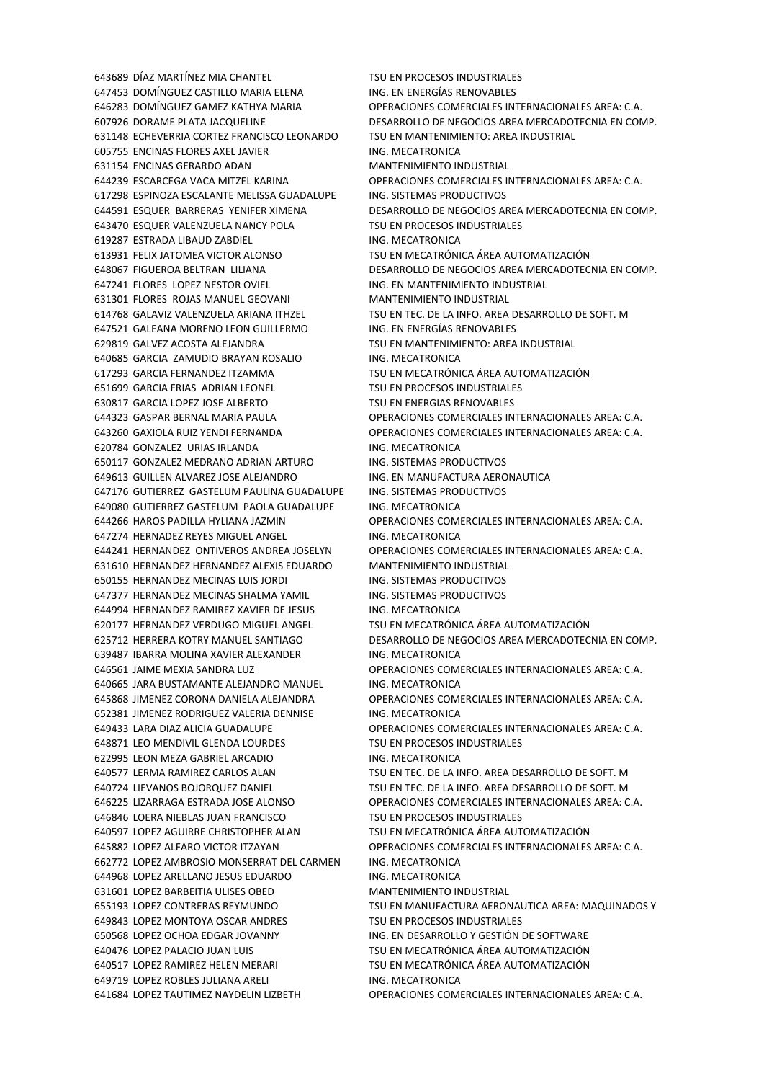DOMÍNGUEZ CASTILLO MARIA ELENA ING. EN ENERGÍAS RENOVABLES ECHEVERRIA CORTEZ FRANCISCO LEONARDO TSU EN MANTENIMIENTO: AREA INDUSTRIAL ENCINAS FLORES AXEL JAVIER ING. MECATRONICA ENCINAS GERARDO ADAN MANTENIMIENTO INDUSTRIAL ESPINOZA ESCALANTE MELISSA GUADALUPE ING. SISTEMAS PRODUCTIVOS ESQUER VALENZUELA NANCY POLA TSU EN PROCESOS INDUSTRIALES 619287 ESTRADA LIBAUD ZABDIEL ING. MECATRONICA FELIX JATOMEA VICTOR ALONSO TSU EN MECATRÓNICA ÁREA AUTOMATIZACIÓN FLORES LOPEZ NESTOR OVIEL ING. EN MANTENIMIENTO INDUSTRIAL FLORES ROJAS MANUEL GEOVANI MANTENIMIENTO INDUSTRIAL GALEANA MORENO LEON GUILLERMO ING. EN ENERGÍAS RENOVABLES GALVEZ ACOSTA ALEJANDRA TSU EN MANTENIMIENTO: AREA INDUSTRIAL GARCIA ZAMUDIO BRAYAN ROSALIO ING. MECATRONICA GARCIA FERNANDEZ ITZAMMA TSU EN MECATRÓNICA ÁREA AUTOMATIZACIÓN GARCIA FRIAS ADRIAN LEONEL TSU EN PROCESOS INDUSTRIALES GARCIA LOPEZ JOSE ALBERTO TSU EN ENERGIAS RENOVABLES 620784 GONZALEZ URIAS IRLANDA ING. MECATRONICA GONZALEZ MEDRANO ADRIAN ARTURO ING. SISTEMAS PRODUCTIVOS GUILLEN ALVAREZ JOSE ALEJANDRO ING. EN MANUFACTURA AERONAUTICA GUTIERREZ GASTELUM PAULINA GUADALUPE ING. SISTEMAS PRODUCTIVOS GUTIERREZ GASTELUM PAOLA GUADALUPE ING. MECATRONICA 647274 HERNADEZ REYES MIGUEL ANGEL **ING. MECATRONICA**  HERNANDEZ HERNANDEZ ALEXIS EDUARDO MANTENIMIENTO INDUSTRIAL 650155 HERNANDEZ MECINAS LUIS JORDI ING. SISTEMAS PRODUCTIVOS 647377 HERNANDEZ MECINAS SHALMA YAMIL ING. SISTEMAS PRODUCTIVOS HERNANDEZ RAMIREZ XAVIER DE JESUS ING. MECATRONICA 620177 HERNANDEZ VERDUGO MIGUEL ANGEL TSU EN MECATRÓNICA ÁREA AUTOMATIZACIÓN IBARRA MOLINA XAVIER ALEXANDER ING. MECATRONICA JARA BUSTAMANTE ALEJANDRO MANUEL ING. MECATRONICA 652381 JIMENEZ RODRIGUEZ VALERIA DENNISE ING. MECATRONICA LEO MENDIVIL GLENDA LOURDES TSU EN PROCESOS INDUSTRIALES 622995 LEON MEZA GABRIEL ARCADIO ING. MECATRONICA LERMA RAMIREZ CARLOS ALAN TSU EN TEC. DE LA INFO. AREA DESARROLLO DE SOFT. M 646846 LOERA NIEBLAS JUAN FRANCISCO TESU EN PROCESOS INDUSTRIALES LOPEZ AGUIRRE CHRISTOPHER ALAN TSU EN MECATRÓNICA ÁREA AUTOMATIZACIÓN LOPEZ AMBROSIO MONSERRAT DEL CARMEN ING. MECATRONICA LOPEZ ARELLANO JESUS EDUARDO ING. MECATRONICA LOPEZ BARBEITIA ULISES OBED MANTENIMIENTO INDUSTRIAL 649843 LOPEZ MONTOYA OSCAR ANDRES TSU EN PROCESOS INDUSTRIALES LOPEZ OCHOA EDGAR JOVANNY ING. EN DESARROLLO Y GESTIÓN DE SOFTWARE LOPEZ PALACIO JUAN LUIS TSU EN MECATRÓNICA ÁREA AUTOMATIZACIÓN LOPEZ RAMIREZ HELEN MERARI TSU EN MECATRÓNICA ÁREA AUTOMATIZACIÓN 649719 LOPEZ ROBLES JULIANA ARELI ING. MECATRONICA

 DÍAZ MARTÍNEZ MIA CHANTEL TSU EN PROCESOS INDUSTRIALES DOMÍNGUEZ GAMEZ KATHYA MARIA OPERACIONES COMERCIALES INTERNACIONALES AREA: C.A. DORAME PLATA JACQUELINE DESARROLLO DE NEGOCIOS AREA MERCADOTECNIA EN COMP. ESCARCEGA VACA MITZEL KARINA OPERACIONES COMERCIALES INTERNACIONALES AREA: C.A. ESQUER BARRERAS YENIFER XIMENA DESARROLLO DE NEGOCIOS AREA MERCADOTECNIA EN COMP. FIGUEROA BELTRAN LILIANA DESARROLLO DE NEGOCIOS AREA MERCADOTECNIA EN COMP. GALAVIZ VALENZUELA ARIANA ITHZEL TSU EN TEC. DE LA INFO. AREA DESARROLLO DE SOFT. M GASPAR BERNAL MARIA PAULA OPERACIONES COMERCIALES INTERNACIONALES AREA: C.A. GAXIOLA RUIZ YENDI FERNANDA OPERACIONES COMERCIALES INTERNACIONALES AREA: C.A. HAROS PADILLA HYLIANA JAZMIN OPERACIONES COMERCIALES INTERNACIONALES AREA: C.A. HERNANDEZ ONTIVEROS ANDREA JOSELYN OPERACIONES COMERCIALES INTERNACIONALES AREA: C.A. HERRERA KOTRY MANUEL SANTIAGO DESARROLLO DE NEGOCIOS AREA MERCADOTECNIA EN COMP. JAIME MEXIA SANDRA LUZ OPERACIONES COMERCIALES INTERNACIONALES AREA: C.A. JIMENEZ CORONA DANIELA ALEJANDRA OPERACIONES COMERCIALES INTERNACIONALES AREA: C.A. LARA DIAZ ALICIA GUADALUPE OPERACIONES COMERCIALES INTERNACIONALES AREA: C.A. 640724 LIEVANOS BOJORQUEZ DANIEL TSU EN TEC. DE LA INFO. AREA DESARROLLO DE SOFT. M LIZARRAGA ESTRADA JOSE ALONSO OPERACIONES COMERCIALES INTERNACIONALES AREA: C.A. LOPEZ ALFARO VICTOR ITZAYAN OPERACIONES COMERCIALES INTERNACIONALES AREA: C.A. LOPEZ CONTRERAS REYMUNDO TSU EN MANUFACTURA AERONAUTICA AREA: MAQUINADOS Y LOPEZ TAUTIMEZ NAYDELIN LIZBETH OPERACIONES COMERCIALES INTERNACIONALES AREA: C.A.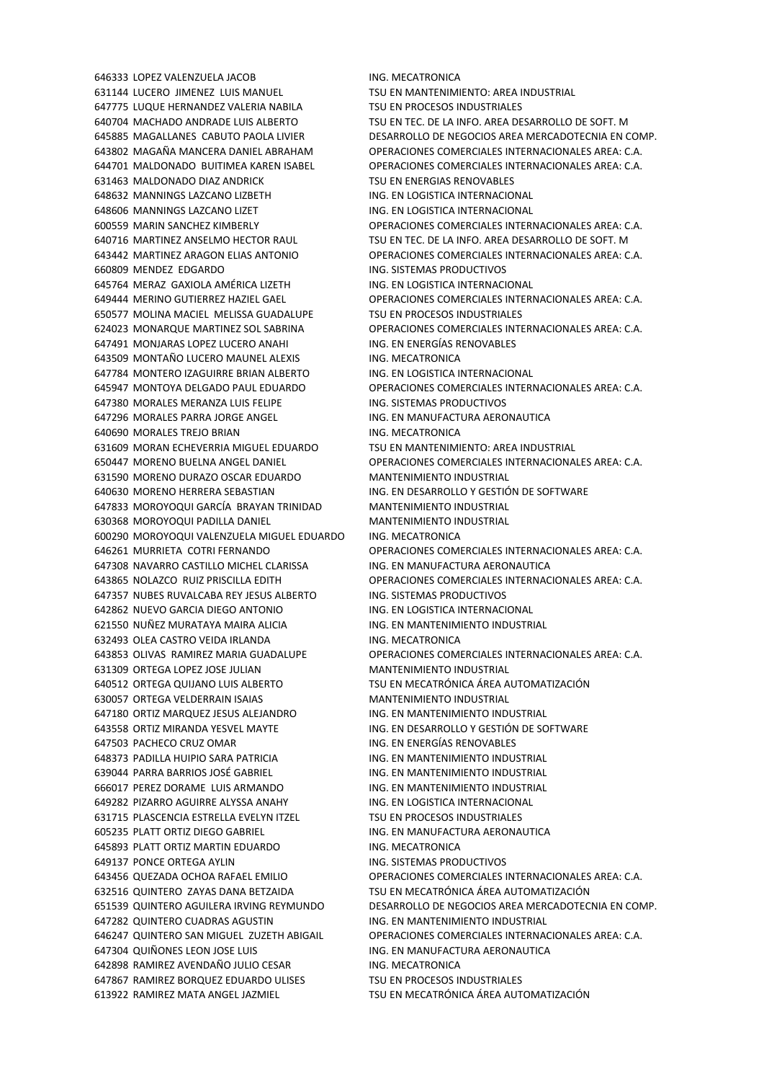LUCERO JIMENEZ LUIS MANUEL TSU EN MANTENIMIENTO: AREA INDUSTRIAL LUQUE HERNANDEZ VALERIA NABILA TSU EN PROCESOS INDUSTRIALES MALDONADO DIAZ ANDRICK TSU EN ENERGIAS RENOVABLES MANNINGS LAZCANO LIZBETH ING. EN LOGISTICA INTERNACIONAL 648606 MANNINGS LAZCANO LIZET **ING. EN LOGISTICA INTERNACIONAL** 660809 MENDEZ EDGARDO **ING. SISTEMAS PRODUCTIVOS**  MERAZ GAXIOLA AMÉRICA LIZETH ING. EN LOGISTICA INTERNACIONAL MOLINA MACIEL MELISSA GUADALUPE TSU EN PROCESOS INDUSTRIALES MONJARAS LOPEZ LUCERO ANAHI ING. EN ENERGÍAS RENOVABLES MONTAÑO LUCERO MAUNEL ALEXIS ING. MECATRONICA MONTERO IZAGUIRRE BRIAN ALBERTO ING. EN LOGISTICA INTERNACIONAL MORALES MERANZA LUIS FELIPE ING. SISTEMAS PRODUCTIVOS MORALES PARRA JORGE ANGEL ING. EN MANUFACTURA AERONAUTICA MORALES TREJO BRIAN ING. MECATRONICA MORAN ECHEVERRIA MIGUEL EDUARDO TSU EN MANTENIMIENTO: AREA INDUSTRIAL MORENO DURAZO OSCAR EDUARDO MANTENIMIENTO INDUSTRIAL MORENO HERRERA SEBASTIAN ING. EN DESARROLLO Y GESTIÓN DE SOFTWARE MOROYOQUI GARCÍA BRAYAN TRINIDAD MANTENIMIENTO INDUSTRIAL MOROYOQUI PADILLA DANIEL MANTENIMIENTO INDUSTRIAL MOROYOQUI VALENZUELA MIGUEL EDUARDO ING. MECATRONICA NAVARRO CASTILLO MICHEL CLARISSA ING. EN MANUFACTURA AERONAUTICA 647357 NUBES RUVALCABA REY JESUS ALBERTO ING. SISTEMAS PRODUCTIVOS NUEVO GARCIA DIEGO ANTONIO ING. EN LOGISTICA INTERNACIONAL NUÑEZ MURATAYA MAIRA ALICIA ING. EN MANTENIMIENTO INDUSTRIAL OLEA CASTRO VEIDA IRLANDA ING. MECATRONICA ORTEGA LOPEZ JOSE JULIAN MANTENIMIENTO INDUSTRIAL ORTEGA QUIJANO LUIS ALBERTO TSU EN MECATRÓNICA ÁREA AUTOMATIZACIÓN ORTEGA VELDERRAIN ISAIAS MANTENIMIENTO INDUSTRIAL ORTIZ MARQUEZ JESUS ALEJANDRO ING. EN MANTENIMIENTO INDUSTRIAL ORTIZ MIRANDA YESVEL MAYTE ING. EN DESARROLLO Y GESTIÓN DE SOFTWARE PACHECO CRUZ OMAR ING. EN ENERGÍAS RENOVABLES PADILLA HUIPIO SARA PATRICIA ING. EN MANTENIMIENTO INDUSTRIAL PARRA BARRIOS JOSÉ GABRIEL ING. EN MANTENIMIENTO INDUSTRIAL PEREZ DORAME LUIS ARMANDO ING. EN MANTENIMIENTO INDUSTRIAL PIZARRO AGUIRRE ALYSSA ANAHY ING. EN LOGISTICA INTERNACIONAL 631715 PLASCENCIA ESTRELLA EVELYN ITZEL TSU EN PROCESOS INDUSTRIALES PLATT ORTIZ DIEGO GABRIEL ING. EN MANUFACTURA AERONAUTICA 645893 PLATT ORTIZ MARTIN EDUARDO ING. MECATRONICA 649137 PONCE ORTEGA AYLIN **ING. SISTEMAS PRODUCTIVOS**  QUINTERO ZAYAS DANA BETZAIDA TSU EN MECATRÓNICA ÁREA AUTOMATIZACIÓN QUINTERO CUADRAS AGUSTIN ING. EN MANTENIMIENTO INDUSTRIAL 647304 QUIÑONES LEON JOSE LUIS **ING. EN MANUFACTURA AERONAUTICA** 642898 RAMIREZ AVENDAÑO JULIO CESAR ING. MECATRONICA 647867 RAMIREZ BORQUEZ EDUARDO ULISES TSU EN PROCESOS INDUSTRIALES RAMIREZ MATA ANGEL JAZMIEL TSU EN MECATRÓNICA ÁREA AUTOMATIZACIÓN

 LOPEZ VALENZUELA JACOB ING. MECATRONICA MACHADO ANDRADE LUIS ALBERTO TSU EN TEC. DE LA INFO. AREA DESARROLLO DE SOFT. M MAGALLANES CABUTO PAOLA LIVIER DESARROLLO DE NEGOCIOS AREA MERCADOTECNIA EN COMP. MAGAÑA MANCERA DANIEL ABRAHAM OPERACIONES COMERCIALES INTERNACIONALES AREA: C.A. MALDONADO BUITIMEA KAREN ISABEL OPERACIONES COMERCIALES INTERNACIONALES AREA: C.A. MARIN SANCHEZ KIMBERLY OPERACIONES COMERCIALES INTERNACIONALES AREA: C.A. MARTINEZ ANSELMO HECTOR RAUL TSU EN TEC. DE LA INFO. AREA DESARROLLO DE SOFT. M MARTINEZ ARAGON ELIAS ANTONIO OPERACIONES COMERCIALES INTERNACIONALES AREA: C.A. MERINO GUTIERREZ HAZIEL GAEL OPERACIONES COMERCIALES INTERNACIONALES AREA: C.A. MONARQUE MARTINEZ SOL SABRINA OPERACIONES COMERCIALES INTERNACIONALES AREA: C.A. MONTOYA DELGADO PAUL EDUARDO OPERACIONES COMERCIALES INTERNACIONALES AREA: C.A. MORENO BUELNA ANGEL DANIEL OPERACIONES COMERCIALES INTERNACIONALES AREA: C.A. MURRIETA COTRI FERNANDO OPERACIONES COMERCIALES INTERNACIONALES AREA: C.A. NOLAZCO RUIZ PRISCILLA EDITH OPERACIONES COMERCIALES INTERNACIONALES AREA: C.A. OLIVAS RAMIREZ MARIA GUADALUPE OPERACIONES COMERCIALES INTERNACIONALES AREA: C.A. QUEZADA OCHOA RAFAEL EMILIO OPERACIONES COMERCIALES INTERNACIONALES AREA: C.A. QUINTERO AGUILERA IRVING REYMUNDO DESARROLLO DE NEGOCIOS AREA MERCADOTECNIA EN COMP. QUINTERO SAN MIGUEL ZUZETH ABIGAIL OPERACIONES COMERCIALES INTERNACIONALES AREA: C.A.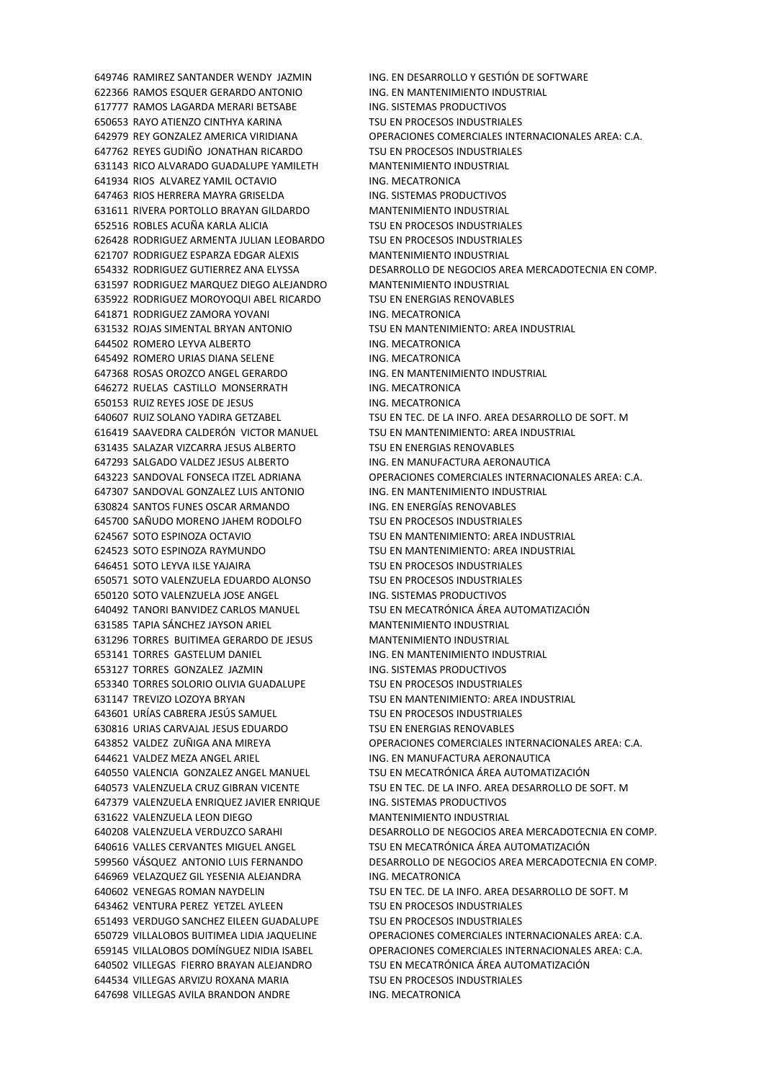RAMOS ESQUER GERARDO ANTONIO ING. EN MANTENIMIENTO INDUSTRIAL RAMOS LAGARDA MERARI BETSABE ING. SISTEMAS PRODUCTIVOS RAYO ATIENZO CINTHYA KARINA TSU EN PROCESOS INDUSTRIALES REYES GUDIÑO JONATHAN RICARDO TSU EN PROCESOS INDUSTRIALES RICO ALVARADO GUADALUPE YAMILETH MANTENIMIENTO INDUSTRIAL RIOS ALVAREZ YAMIL OCTAVIO ING. MECATRONICA RIOS HERRERA MAYRA GRISELDA ING. SISTEMAS PRODUCTIVOS RIVERA PORTOLLO BRAYAN GILDARDO MANTENIMIENTO INDUSTRIAL ROBLES ACUÑA KARLA ALICIA TSU EN PROCESOS INDUSTRIALES RODRIGUEZ ARMENTA JULIAN LEOBARDO TSU EN PROCESOS INDUSTRIALES RODRIGUEZ ESPARZA EDGAR ALEXIS MANTENIMIENTO INDUSTRIAL RODRIGUEZ MARQUEZ DIEGO ALEJANDRO MANTENIMIENTO INDUSTRIAL RODRIGUEZ MOROYOQUI ABEL RICARDO TSU EN ENERGIAS RENOVABLES 641871 RODRIGUEZ ZAMORA YOVANI ING. MECATRONICA ROJAS SIMENTAL BRYAN ANTONIO TSU EN MANTENIMIENTO: AREA INDUSTRIAL ROMERO LEYVA ALBERTO ING. MECATRONICA ROMERO URIAS DIANA SELENE ING. MECATRONICA ROSAS OROZCO ANGEL GERARDO ING. EN MANTENIMIENTO INDUSTRIAL 646272 RUELAS CASTILLO MONSERRATH ING. MECATRONICA 650153 RUIZ REYES JOSE DE JESUS **ING. MECATRONICA**  SAAVEDRA CALDERÓN VICTOR MANUEL TSU EN MANTENIMIENTO: AREA INDUSTRIAL SALAZAR VIZCARRA JESUS ALBERTO TSU EN ENERGIAS RENOVABLES 647293 SALGADO VALDEZ JESUS ALBERTO ING. EN MANUFACTURA AERONAUTICA SANDOVAL GONZALEZ LUIS ANTONIO ING. EN MANTENIMIENTO INDUSTRIAL SANTOS FUNES OSCAR ARMANDO ING. EN ENERGÍAS RENOVABLES SAÑUDO MORENO JAHEM RODOLFO TSU EN PROCESOS INDUSTRIALES SOTO ESPINOZA OCTAVIO TSU EN MANTENIMIENTO: AREA INDUSTRIAL SOTO ESPINOZA RAYMUNDO TSU EN MANTENIMIENTO: AREA INDUSTRIAL SOTO LEYVA ILSE YAJAIRA TSU EN PROCESOS INDUSTRIALES SOTO VALENZUELA EDUARDO ALONSO TSU EN PROCESOS INDUSTRIALES 650120 SOTO VALENZUELA JOSE ANGEL ING. SISTEMAS PRODUCTIVOS TANORI BANVIDEZ CARLOS MANUEL TSU EN MECATRÓNICA ÁREA AUTOMATIZACIÓN TAPIA SÁNCHEZ JAYSON ARIEL MANTENIMIENTO INDUSTRIAL TORRES BUITIMEA GERARDO DE JESUS MANTENIMIENTO INDUSTRIAL TORRES GASTELUM DANIEL ING. EN MANTENIMIENTO INDUSTRIAL TORRES GONZALEZ JAZMIN ING. SISTEMAS PRODUCTIVOS TORRES SOLORIO OLIVIA GUADALUPE TSU EN PROCESOS INDUSTRIALES TREVIZO LOZOYA BRYAN TSU EN MANTENIMIENTO: AREA INDUSTRIAL URÍAS CABRERA JESÚS SAMUEL TSU EN PROCESOS INDUSTRIALES URIAS CARVAJAL JESUS EDUARDO TSU EN ENERGIAS RENOVABLES 644621 VALDEZ MEZA ANGEL ARIEL **ING. EN MANUFACTURA AERONAUTICA**  VALENCIA GONZALEZ ANGEL MANUEL TSU EN MECATRÓNICA ÁREA AUTOMATIZACIÓN VALENZUELA ENRIQUEZ JAVIER ENRIQUE ING. SISTEMAS PRODUCTIVOS VALENZUELA LEON DIEGO MANTENIMIENTO INDUSTRIAL VALLES CERVANTES MIGUEL ANGEL TSU EN MECATRÓNICA ÁREA AUTOMATIZACIÓN 646969 VELAZQUEZ GIL YESENIA ALEJANDRA ING. MECATRONICA VENTURA PEREZ YETZEL AYLEEN TSU EN PROCESOS INDUSTRIALES VERDUGO SANCHEZ EILEEN GUADALUPE TSU EN PROCESOS INDUSTRIALES VILLEGAS FIERRO BRAYAN ALEJANDRO TSU EN MECATRÓNICA ÁREA AUTOMATIZACIÓN VILLEGAS ARVIZU ROXANA MARIA TSU EN PROCESOS INDUSTRIALES 647698 VILLEGAS AVILA BRANDON ANDRE ING. MECATRONICA

 RAMIREZ SANTANDER WENDY JAZMIN ING. EN DESARROLLO Y GESTIÓN DE SOFTWARE REY GONZALEZ AMERICA VIRIDIANA OPERACIONES COMERCIALES INTERNACIONALES AREA: C.A. RODRIGUEZ GUTIERREZ ANA ELYSSA DESARROLLO DE NEGOCIOS AREA MERCADOTECNIA EN COMP. RUIZ SOLANO YADIRA GETZABEL TSU EN TEC. DE LA INFO. AREA DESARROLLO DE SOFT. M SANDOVAL FONSECA ITZEL ADRIANA OPERACIONES COMERCIALES INTERNACIONALES AREA: C.A. VALDEZ ZUÑIGA ANA MIREYA OPERACIONES COMERCIALES INTERNACIONALES AREA: C.A. 640573 VALENZUELA CRUZ GIBRAN VICENTE TSU EN TEC. DE LA INFO. AREA DESARROLLO DE SOFT. M VALENZUELA VERDUZCO SARAHI DESARROLLO DE NEGOCIOS AREA MERCADOTECNIA EN COMP. VÁSQUEZ ANTONIO LUIS FERNANDO DESARROLLO DE NEGOCIOS AREA MERCADOTECNIA EN COMP. VENEGAS ROMAN NAYDELIN TSU EN TEC. DE LA INFO. AREA DESARROLLO DE SOFT. M VILLALOBOS BUITIMEA LIDIA JAQUELINE OPERACIONES COMERCIALES INTERNACIONALES AREA: C.A. VILLALOBOS DOMÍNGUEZ NIDIA ISABEL OPERACIONES COMERCIALES INTERNACIONALES AREA: C.A.